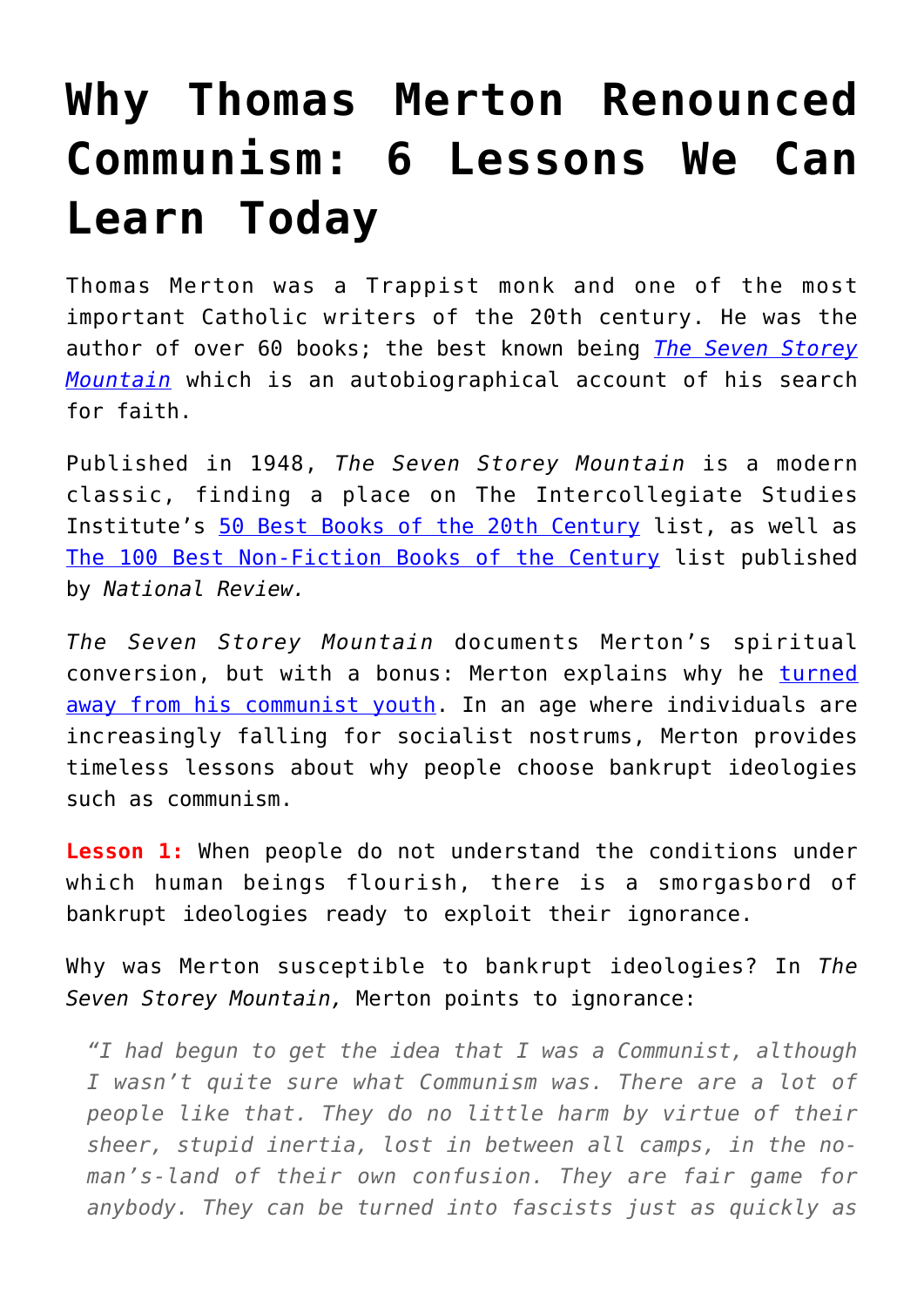## **[Why Thomas Merton Renounced](https://intellectualtakeout.org/2018/10/why-thomas-merton-renounced-communism-6-lessons-we-can-learn-today/) [Communism: 6 Lessons We Can](https://intellectualtakeout.org/2018/10/why-thomas-merton-renounced-communism-6-lessons-we-can-learn-today/) [Learn Today](https://intellectualtakeout.org/2018/10/why-thomas-merton-renounced-communism-6-lessons-we-can-learn-today/)**

Thomas Merton was a Trappist monk and one of the most important Catholic writers of the 20th century. He was the author of over 60 books; the best known being *[The Seven Storey](https://www.amazon.com/gp/product/0156010860/ref=as_li_qf_asin_il_tl?ie=UTF8&tag=intelltakeo0d-20&creative=9325&linkCode=as2&creativeASIN=0156010860&linkId=dea86880e2514bfbfc5dd906117c116b) [Mountain](https://www.amazon.com/gp/product/0156010860/ref=as_li_qf_asin_il_tl?ie=UTF8&tag=intelltakeo0d-20&creative=9325&linkCode=as2&creativeASIN=0156010860&linkId=dea86880e2514bfbfc5dd906117c116b)* which is an autobiographical account of his search for faith.

Published in 1948, *The Seven Storey Mountain* is a modern classic, finding a place on The Intercollegiate Studies Institute's [50 Best Books of the 20th Century](https://home.isi.org/50-best-books-20th-century) list, as well as [The 100 Best Non-Fiction Books of the Century](https://www.nationalreview.com/1999/05/non-fiction-100/) list published by *National Review.*

*The Seven Storey Mountain* documents Merton's spiritual conversion, but with a bonus: Merton explains why he [turned](https://www.catholic.com/magazine/print-edition/can-you-trust-thomas-merton) [away from his communist youth](https://www.catholic.com/magazine/print-edition/can-you-trust-thomas-merton). In an age where individuals are increasingly falling for socialist nostrums, Merton provides timeless lessons about why people choose bankrupt ideologies such as communism.

**Lesson 1:** When people do not understand the conditions under which human beings flourish, there is a smorgasbord of bankrupt ideologies ready to exploit their ignorance.

Why was Merton susceptible to bankrupt ideologies? In *The Seven Storey Mountain,* Merton points to ignorance:

*"I had begun to get the idea that I was a Communist, although I wasn't quite sure what Communism was. There are a lot of people like that. They do no little harm by virtue of their sheer, stupid inertia, lost in between all camps, in the noman's-land of their own confusion. They are fair game for anybody. They can be turned into fascists just as quickly as*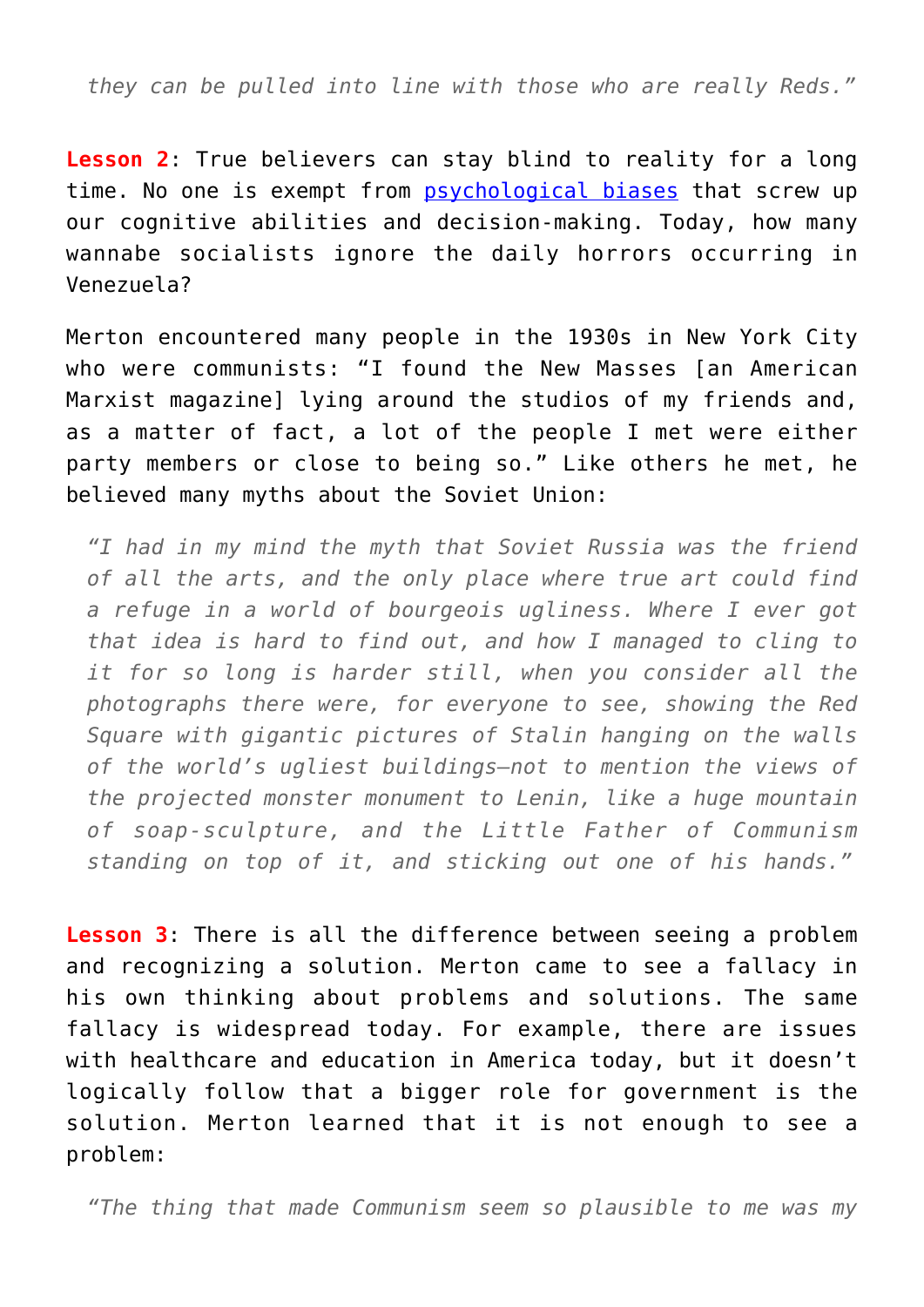*they can be pulled into line with those who are really Reds."*

**Lesson 2**: True believers can stay blind to reality for a long time. No one is exempt from **psychological biases** that screw up our cognitive abilities and decision-making. Today, how many wannabe socialists ignore the daily horrors occurring in Venezuela?

Merton encountered many people in the 1930s in New York City who were communists: "I found the New Masses [an American Marxist magazine] lying around the studios of my friends and, as a matter of fact, a lot of the people I met were either party members or close to being so." Like others he met, he believed many myths about the Soviet Union:

*"I had in my mind the myth that Soviet Russia was the friend of all the arts, and the only place where true art could find a refuge in a world of bourgeois ugliness. Where I ever got that idea is hard to find out, and how I managed to cling to it for so long is harder still, when you consider all the photographs there were, for everyone to see, showing the Red Square with gigantic pictures of Stalin hanging on the walls of the world's ugliest buildings—not to mention the views of the projected monster monument to Lenin, like a huge mountain of soap-sculpture, and the Little Father of Communism standing on top of it, and sticking out one of his hands."*

**Lesson 3**: There is all the difference between seeing a problem and recognizing a solution. Merton came to see a fallacy in his own thinking about problems and solutions. The same fallacy is widespread today. For example, there are issues with healthcare and education in America today, but it doesn't logically follow that a bigger role for government is the solution. Merton learned that it is not enough to see a problem:

*"The thing that made Communism seem so plausible to me was my*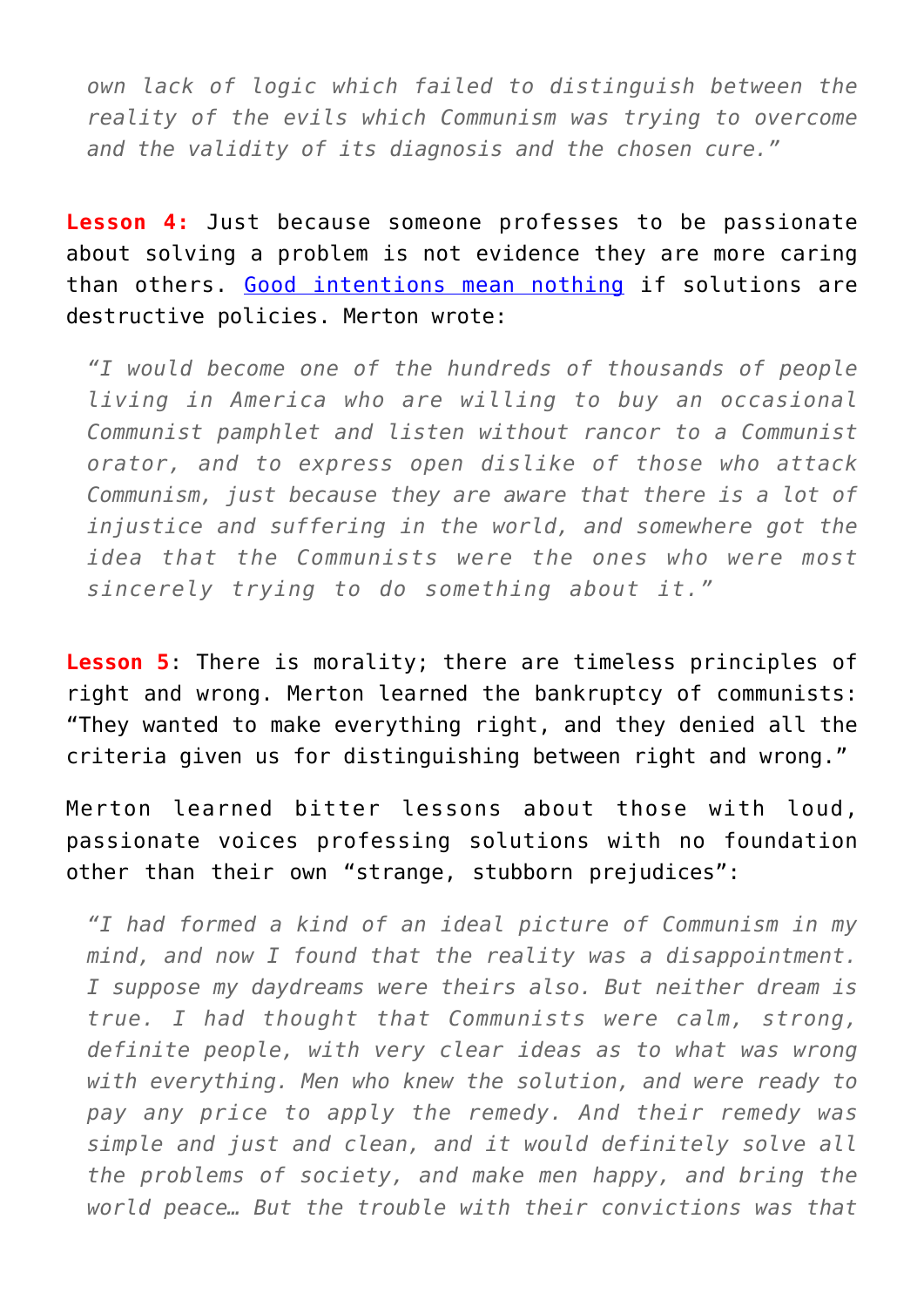*own lack of logic which failed to distinguish between the reality of the evils which Communism was trying to overcome and the validity of its diagnosis and the chosen cure."*

**Lesson 4:** Just because someone professes to be passionate about solving a problem is not evidence they are more caring than others. [Good intentions mean nothing](https://fee.org/articles/the-good-intentions-fallacy-is-driving-support-for-democratic-socialism/) if solutions are destructive policies. Merton wrote:

*"I would become one of the hundreds of thousands of people living in America who are willing to buy an occasional Communist pamphlet and listen without rancor to a Communist orator, and to express open dislike of those who attack Communism, just because they are aware that there is a lot of injustice and suffering in the world, and somewhere got the idea that the Communists were the ones who were most sincerely trying to do something about it."*

**Lesson 5**: There is morality; there are timeless principles of right and wrong. Merton learned the bankruptcy of communists: "They wanted to make everything right, and they denied all the criteria given us for distinguishing between right and wrong."

Merton learned bitter lessons about those with loud, passionate voices professing solutions with no foundation other than their own "strange, stubborn prejudices":

*"I had formed a kind of an ideal picture of Communism in my mind, and now I found that the reality was a disappointment. I suppose my daydreams were theirs also. But neither dream is true. I had thought that Communists were calm, strong, definite people, with very clear ideas as to what was wrong with everything. Men who knew the solution, and were ready to pay any price to apply the remedy. And their remedy was simple and just and clean, and it would definitely solve all the problems of society, and make men happy, and bring the world peace… But the trouble with their convictions was that*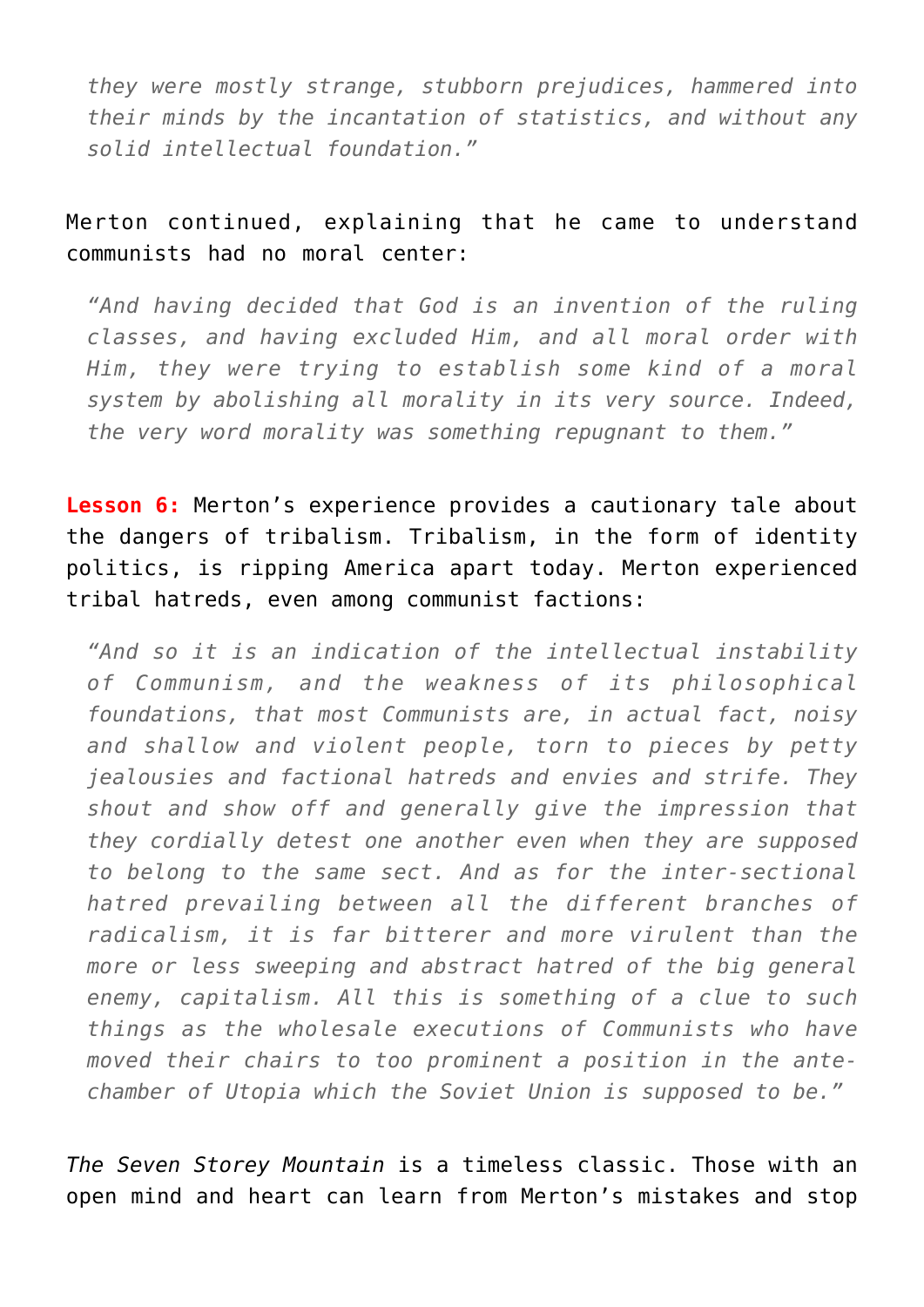*they were mostly strange, stubborn prejudices, hammered into their minds by the incantation of statistics, and without any solid intellectual foundation."*

## Merton continued, explaining that he came to understand communists had no moral center:

*"And having decided that God is an invention of the ruling classes, and having excluded Him, and all moral order with Him, they were trying to establish some kind of a moral system by abolishing all morality in its very source. Indeed, the very word morality was something repugnant to them."*

**Lesson 6:** Merton's experience provides a cautionary tale about the dangers of tribalism. Tribalism, in the form of identity politics, is ripping America apart today. Merton experienced tribal hatreds, even among communist factions:

*"And so it is an indication of the intellectual instability of Communism, and the weakness of its philosophical foundations, that most Communists are, in actual fact, noisy and shallow and violent people, torn to pieces by petty jealousies and factional hatreds and envies and strife. They shout and show off and generally give the impression that they cordially detest one another even when they are supposed to belong to the same sect. And as for the inter-sectional hatred prevailing between all the different branches of radicalism, it is far bitterer and more virulent than the more or less sweeping and abstract hatred of the big general enemy, capitalism. All this is something of a clue to such things as the wholesale executions of Communists who have moved their chairs to too prominent a position in the antechamber of Utopia which the Soviet Union is supposed to be."*

*The Seven Storey Mountain* is a timeless classic. Those with an open mind and heart can learn from Merton's mistakes and stop